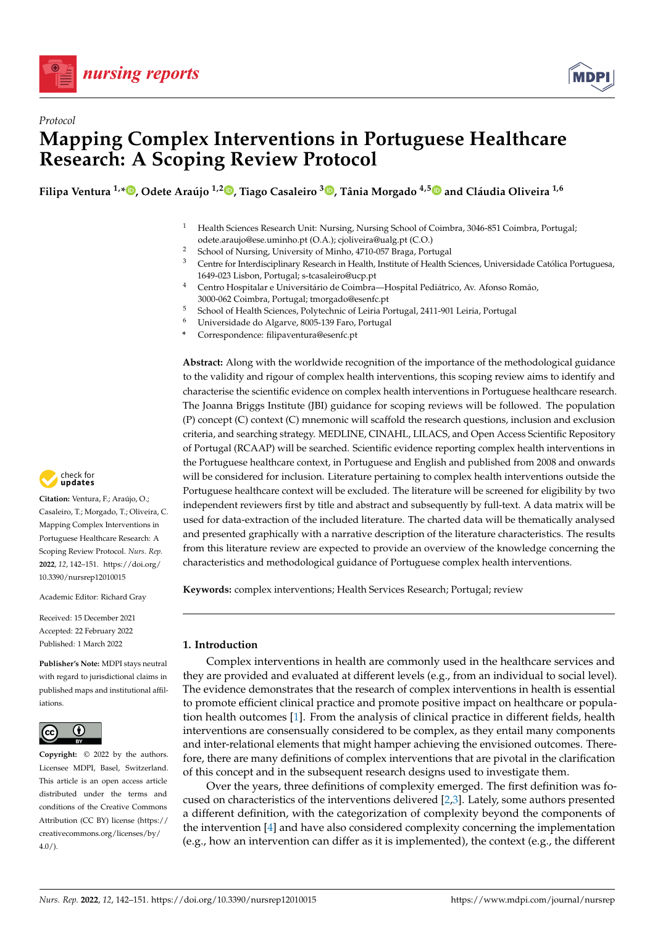



# *Protocol* **Mapping Complex Interventions in Portuguese Healthcare Research: A Scoping Review Protocol**

Filipa Ventura <sup>1,</sup>[\\*](https://orcid.org/0000-0001-5722-5612)®[,](https://orcid.org/0000-0002-6874-2401) Odete Araújo <sup>1,2</sup>®, Tiago Casaleiro <sup>3</sup>®, Tânia Morgado <sup>4,[5](https://orcid.org/0000-0001-9867-6321)</sup>® and Cláudia Oliveira <sup>1,6</sup>

- <sup>1</sup> Health Sciences Research Unit: Nursing, Nursing School of Coimbra, 3046-851 Coimbra, Portugal; odete.araujo@ese.uminho.pt (O.A.); cjoliveira@ualg.pt (C.O.)
- <sup>2</sup> School of Nursing, University of Minho, 4710-057 Braga, Portugal<br><sup>3</sup> Centre for Interdisciplinary Because in Health Institute of Health S
- <sup>3</sup> Centre for Interdisciplinary Research in Health, Institute of Health Sciences, Universidade Católica Portuguesa, 1649-023 Lisbon, Portugal; s-tcasaleiro@ucp.pt
- <sup>4</sup> Centro Hospitalar e Universitário de Coimbra—Hospital Pediátrico, Av. Afonso Romão, 3000-062 Coimbra, Portugal; tmorgado@esenfc.pt
- <sup>5</sup> School of Health Sciences, Polytechnic of Leiria Portugal, 2411-901 Leiria, Portugal
- <sup>6</sup> Universidade do Algarve, 8005-139 Faro, Portugal
- **\*** Correspondence: filipaventura@esenfc.pt

**Abstract:** Along with the worldwide recognition of the importance of the methodological guidance to the validity and rigour of complex health interventions, this scoping review aims to identify and characterise the scientific evidence on complex health interventions in Portuguese healthcare research. The Joanna Briggs Institute (JBI) guidance for scoping reviews will be followed. The population (P) concept (C) context (C) mnemonic will scaffold the research questions, inclusion and exclusion criteria, and searching strategy. MEDLINE, CINAHL, LILACS, and Open Access Scientific Repository of Portugal (RCAAP) will be searched. Scientific evidence reporting complex health interventions in the Portuguese healthcare context, in Portuguese and English and published from 2008 and onwards will be considered for inclusion. Literature pertaining to complex health interventions outside the Portuguese healthcare context will be excluded. The literature will be screened for eligibility by two independent reviewers first by title and abstract and subsequently by full-text. A data matrix will be used for data-extraction of the included literature. The charted data will be thematically analysed and presented graphically with a narrative description of the literature characteristics. The results from this literature review are expected to provide an overview of the knowledge concerning the characteristics and methodological guidance of Portuguese complex health interventions.

**Keywords:** complex interventions; Health Services Research; Portugal; review

## **1. Introduction**

Complex interventions in health are commonly used in the healthcare services and they are provided and evaluated at different levels (e.g., from an individual to social level). The evidence demonstrates that the research of complex interventions in health is essential to promote efficient clinical practice and promote positive impact on healthcare or population health outcomes [\[1\]](#page-9-0). From the analysis of clinical practice in different fields, health interventions are consensually considered to be complex, as they entail many components and inter-relational elements that might hamper achieving the envisioned outcomes. Therefore, there are many definitions of complex interventions that are pivotal in the clarification of this concept and in the subsequent research designs used to investigate them.

Over the years, three definitions of complexity emerged. The first definition was focused on characteristics of the interventions delivered [\[2,](#page-9-1)[3\]](#page-9-2). Lately, some authors presented a different definition, with the categorization of complexity beyond the components of the intervention [\[4\]](#page-9-3) and have also considered complexity concerning the implementation (e.g., how an intervention can differ as it is implemented), the context (e.g., the different



**Citation:** Ventura, F.; Araújo, O.; Casaleiro, T.; Morgado, T.; Oliveira, C. Mapping Complex Interventions in Portuguese Healthcare Research: A Scoping Review Protocol. *Nurs. Rep.* **2022**, *12*, 142–151. [https://doi.org/](https://doi.org/10.3390/nursrep12010015) [10.3390/nursrep12010015](https://doi.org/10.3390/nursrep12010015)

Academic Editor: Richard Gray

Received: 15 December 2021 Accepted: 22 February 2022 Published: 1 March 2022

**Publisher's Note:** MDPI stays neutral with regard to jurisdictional claims in published maps and institutional affiliations.



**Copyright:** © 2022 by the authors. Licensee MDPI, Basel, Switzerland. This article is an open access article distributed under the terms and conditions of the Creative Commons Attribution (CC BY) license [\(https://](https://creativecommons.org/licenses/by/4.0/) [creativecommons.org/licenses/by/](https://creativecommons.org/licenses/by/4.0/)  $4.0/$ ).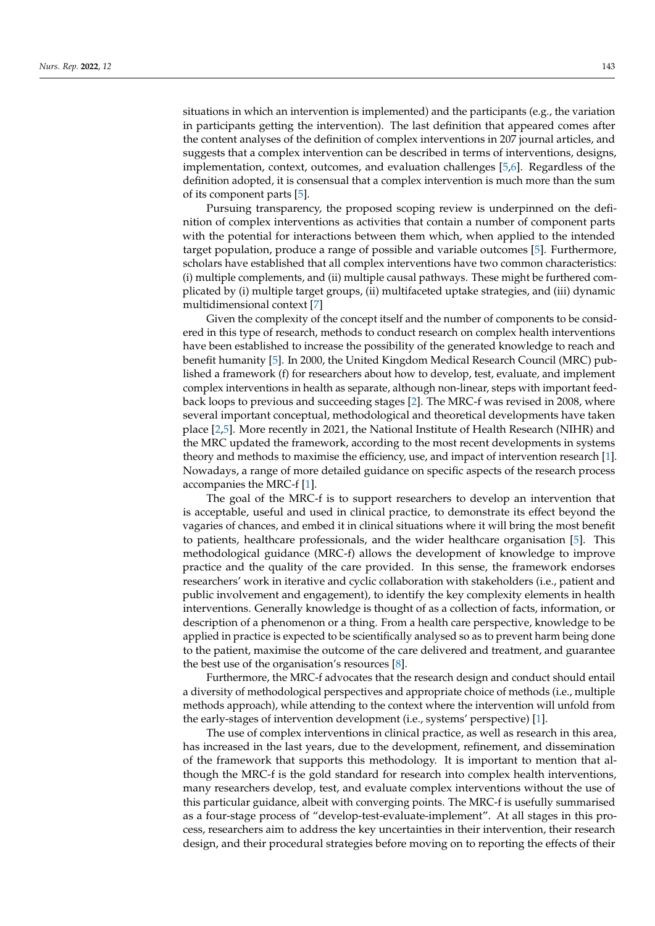situations in which an intervention is implemented) and the participants (e.g., the variation in participants getting the intervention). The last definition that appeared comes after the content analyses of the definition of complex interventions in 207 journal articles, and suggests that a complex intervention can be described in terms of interventions, designs, implementation, context, outcomes, and evaluation challenges [\[5,](#page-9-4)[6\]](#page-9-5). Regardless of the definition adopted, it is consensual that a complex intervention is much more than the sum of its component parts [\[5\]](#page-9-4).

Pursuing transparency, the proposed scoping review is underpinned on the definition of complex interventions as activities that contain a number of component parts with the potential for interactions between them which, when applied to the intended target population, produce a range of possible and variable outcomes [\[5\]](#page-9-4). Furthermore, scholars have established that all complex interventions have two common characteristics: (i) multiple complements, and (ii) multiple causal pathways. These might be furthered complicated by (i) multiple target groups, (ii) multifaceted uptake strategies, and (iii) dynamic multidimensional context [\[7\]](#page-9-6)

Given the complexity of the concept itself and the number of components to be considered in this type of research, methods to conduct research on complex health interventions have been established to increase the possibility of the generated knowledge to reach and benefit humanity [\[5\]](#page-9-4). In 2000, the United Kingdom Medical Research Council (MRC) published a framework (f) for researchers about how to develop, test, evaluate, and implement complex interventions in health as separate, although non-linear, steps with important feedback loops to previous and succeeding stages [\[2\]](#page-9-1). The MRC-f was revised in 2008, where several important conceptual, methodological and theoretical developments have taken place [\[2,](#page-9-1)[5\]](#page-9-4). More recently in 2021, the National Institute of Health Research (NIHR) and the MRC updated the framework, according to the most recent developments in systems theory and methods to maximise the efficiency, use, and impact of intervention research [\[1\]](#page-9-0). Nowadays, a range of more detailed guidance on specific aspects of the research process accompanies the MRC-f [\[1\]](#page-9-0).

The goal of the MRC-f is to support researchers to develop an intervention that is acceptable, useful and used in clinical practice, to demonstrate its effect beyond the vagaries of chances, and embed it in clinical situations where it will bring the most benefit to patients, healthcare professionals, and the wider healthcare organisation [\[5\]](#page-9-4). This methodological guidance (MRC-f) allows the development of knowledge to improve practice and the quality of the care provided. In this sense, the framework endorses researchers' work in iterative and cyclic collaboration with stakeholders (i.e., patient and public involvement and engagement), to identify the key complexity elements in health interventions. Generally knowledge is thought of as a collection of facts, information, or description of a phenomenon or a thing. From a health care perspective, knowledge to be applied in practice is expected to be scientifically analysed so as to prevent harm being done to the patient, maximise the outcome of the care delivered and treatment, and guarantee the best use of the organisation's resources [\[8\]](#page-9-7).

Furthermore, the MRC-f advocates that the research design and conduct should entail a diversity of methodological perspectives and appropriate choice of methods (i.e., multiple methods approach), while attending to the context where the intervention will unfold from the early-stages of intervention development (i.e., systems' perspective) [\[1\]](#page-9-0).

The use of complex interventions in clinical practice, as well as research in this area, has increased in the last years, due to the development, refinement, and dissemination of the framework that supports this methodology. It is important to mention that although the MRC-f is the gold standard for research into complex health interventions, many researchers develop, test, and evaluate complex interventions without the use of this particular guidance, albeit with converging points. The MRC-f is usefully summarised as a four-stage process of "develop-test-evaluate-implement". At all stages in this process, researchers aim to address the key uncertainties in their intervention, their research design, and their procedural strategies before moving on to reporting the effects of their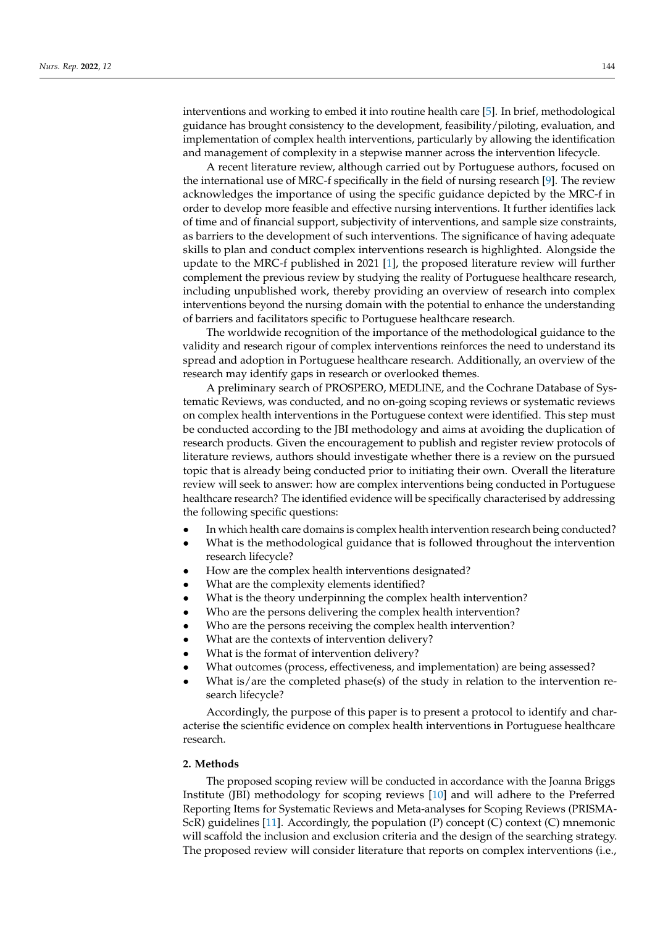interventions and working to embed it into routine health care [\[5\]](#page-9-4). In brief, methodological guidance has brought consistency to the development, feasibility/piloting, evaluation, and implementation of complex health interventions, particularly by allowing the identification and management of complexity in a stepwise manner across the intervention lifecycle.

A recent literature review, although carried out by Portuguese authors, focused on the international use of MRC-f specifically in the field of nursing research [\[9\]](#page-9-8). The review acknowledges the importance of using the specific guidance depicted by the MRC-f in order to develop more feasible and effective nursing interventions. It further identifies lack of time and of financial support, subjectivity of interventions, and sample size constraints, as barriers to the development of such interventions. The significance of having adequate skills to plan and conduct complex interventions research is highlighted. Alongside the update to the MRC-f published in 2021 [\[1\]](#page-9-0), the proposed literature review will further complement the previous review by studying the reality of Portuguese healthcare research, including unpublished work, thereby providing an overview of research into complex interventions beyond the nursing domain with the potential to enhance the understanding of barriers and facilitators specific to Portuguese healthcare research.

The worldwide recognition of the importance of the methodological guidance to the validity and research rigour of complex interventions reinforces the need to understand its spread and adoption in Portuguese healthcare research. Additionally, an overview of the research may identify gaps in research or overlooked themes.

A preliminary search of PROSPERO, MEDLINE, and the Cochrane Database of Systematic Reviews, was conducted, and no on-going scoping reviews or systematic reviews on complex health interventions in the Portuguese context were identified. This step must be conducted according to the JBI methodology and aims at avoiding the duplication of research products. Given the encouragement to publish and register review protocols of literature reviews, authors should investigate whether there is a review on the pursued topic that is already being conducted prior to initiating their own. Overall the literature review will seek to answer: how are complex interventions being conducted in Portuguese healthcare research? The identified evidence will be specifically characterised by addressing the following specific questions:

- In which health care domains is complex health intervention research being conducted?
- What is the methodological guidance that is followed throughout the intervention research lifecycle?
- How are the complex health interventions designated?
- What are the complexity elements identified?
- What is the theory underpinning the complex health intervention?
- Who are the persons delivering the complex health intervention?
- Who are the persons receiving the complex health intervention?
- What are the contexts of intervention delivery?
- What is the format of intervention delivery?
- What outcomes (process, effectiveness, and implementation) are being assessed?
- What is/are the completed phase(s) of the study in relation to the intervention research lifecycle?

Accordingly, the purpose of this paper is to present a protocol to identify and characterise the scientific evidence on complex health interventions in Portuguese healthcare research.

## **2. Methods**

The proposed scoping review will be conducted in accordance with the Joanna Briggs Institute (JBI) methodology for scoping reviews [\[10\]](#page-9-9) and will adhere to the Preferred Reporting Items for Systematic Reviews and Meta-analyses for Scoping Reviews (PRISMA-ScR) guidelines [\[11\]](#page-9-10). Accordingly, the population (P) concept (C) context (C) mnemonic will scaffold the inclusion and exclusion criteria and the design of the searching strategy. The proposed review will consider literature that reports on complex interventions (i.e.,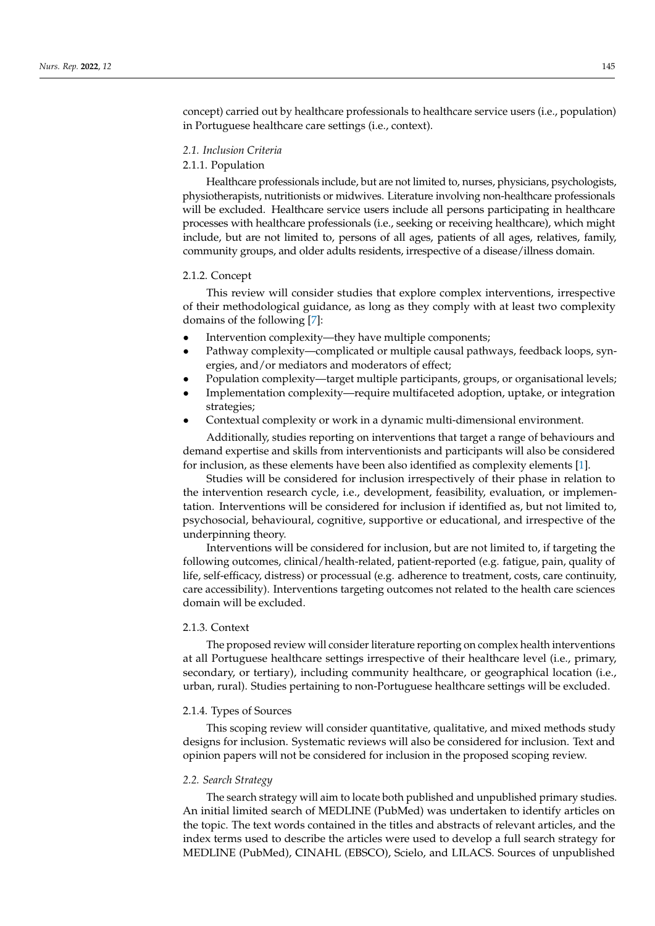concept) carried out by healthcare professionals to healthcare service users (i.e., population) in Portuguese healthcare care settings (i.e., context).

## *2.1. Inclusion Criteria*

## 2.1.1. Population

Healthcare professionals include, but are not limited to, nurses, physicians, psychologists, physiotherapists, nutritionists or midwives. Literature involving non-healthcare professionals will be excluded. Healthcare service users include all persons participating in healthcare processes with healthcare professionals (i.e., seeking or receiving healthcare), which might include, but are not limited to, persons of all ages, patients of all ages, relatives, family, community groups, and older adults residents, irrespective of a disease/illness domain.

## 2.1.2. Concept

This review will consider studies that explore complex interventions, irrespective of their methodological guidance, as long as they comply with at least two complexity domains of the following [\[7\]](#page-9-6):

- Intervention complexity—they have multiple components;
- Pathway complexity—complicated or multiple causal pathways, feedback loops, synergies, and/or mediators and moderators of effect;
- Population complexity—target multiple participants, groups, or organisational levels;
- Implementation complexity—require multifaceted adoption, uptake, or integration strategies;
- Contextual complexity or work in a dynamic multi-dimensional environment.

Additionally, studies reporting on interventions that target a range of behaviours and demand expertise and skills from interventionists and participants will also be considered for inclusion, as these elements have been also identified as complexity elements [\[1\]](#page-9-0).

Studies will be considered for inclusion irrespectively of their phase in relation to the intervention research cycle, i.e., development, feasibility, evaluation, or implementation. Interventions will be considered for inclusion if identified as, but not limited to, psychosocial, behavioural, cognitive, supportive or educational, and irrespective of the underpinning theory.

Interventions will be considered for inclusion, but are not limited to, if targeting the following outcomes, clinical/health-related, patient-reported (e.g. fatigue, pain, quality of life, self-efficacy, distress) or processual (e.g. adherence to treatment, costs, care continuity, care accessibility). Interventions targeting outcomes not related to the health care sciences domain will be excluded.

## 2.1.3. Context

The proposed review will consider literature reporting on complex health interventions at all Portuguese healthcare settings irrespective of their healthcare level (i.e., primary, secondary, or tertiary), including community healthcare, or geographical location (i.e., urban, rural). Studies pertaining to non-Portuguese healthcare settings will be excluded.

#### 2.1.4. Types of Sources

This scoping review will consider quantitative, qualitative, and mixed methods study designs for inclusion. Systematic reviews will also be considered for inclusion. Text and opinion papers will not be considered for inclusion in the proposed scoping review.

#### *2.2. Search Strategy*

The search strategy will aim to locate both published and unpublished primary studies. An initial limited search of MEDLINE (PubMed) was undertaken to identify articles on the topic. The text words contained in the titles and abstracts of relevant articles, and the index terms used to describe the articles were used to develop a full search strategy for MEDLINE (PubMed), CINAHL (EBSCO), Scielo, and LILACS. Sources of unpublished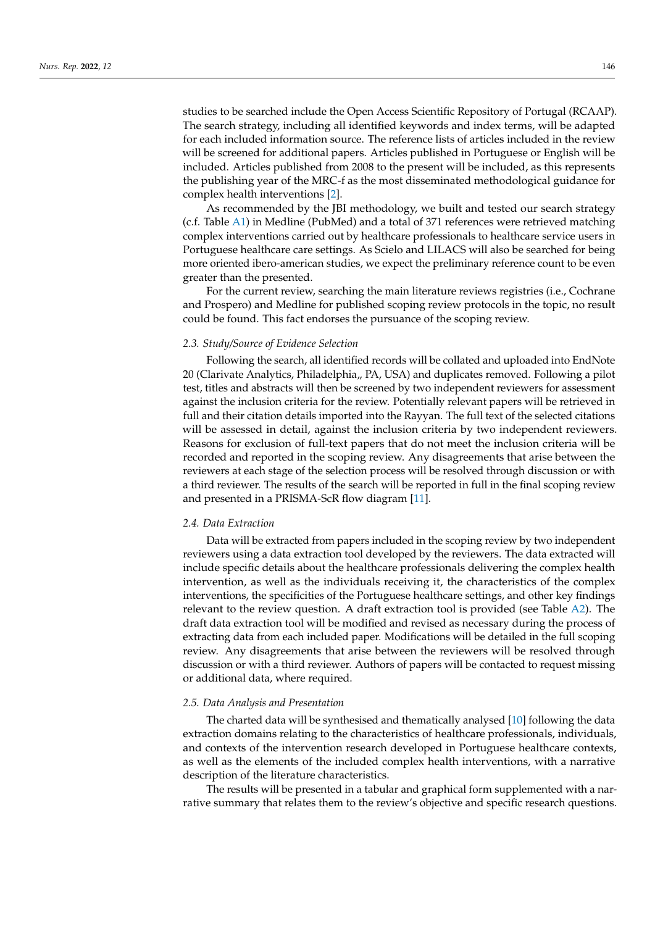studies to be searched include the Open Access Scientific Repository of Portugal (RCAAP). The search strategy, including all identified keywords and index terms, will be adapted for each included information source. The reference lists of articles included in the review will be screened for additional papers. Articles published in Portuguese or English will be included. Articles published from 2008 to the present will be included, as this represents the publishing year of the MRC-f as the most disseminated methodological guidance for complex health interventions [\[2\]](#page-9-1).

As recommended by the JBI methodology, we built and tested our search strategy (c.f. Table [A1\)](#page-6-0) in Medline (PubMed) and a total of 371 references were retrieved matching complex interventions carried out by healthcare professionals to healthcare service users in Portuguese healthcare care settings. As Scielo and LILACS will also be searched for being more oriented ibero-american studies, we expect the preliminary reference count to be even greater than the presented.

For the current review, searching the main literature reviews registries (i.e., Cochrane and Prospero) and Medline for published scoping review protocols in the topic, no result could be found. This fact endorses the pursuance of the scoping review.

#### *2.3. Study/Source of Evidence Selection*

Following the search, all identified records will be collated and uploaded into EndNote 20 (Clarivate Analytics, Philadelphia,, PA, USA) and duplicates removed. Following a pilot test, titles and abstracts will then be screened by two independent reviewers for assessment against the inclusion criteria for the review. Potentially relevant papers will be retrieved in full and their citation details imported into the Rayyan. The full text of the selected citations will be assessed in detail, against the inclusion criteria by two independent reviewers. Reasons for exclusion of full-text papers that do not meet the inclusion criteria will be recorded and reported in the scoping review. Any disagreements that arise between the reviewers at each stage of the selection process will be resolved through discussion or with a third reviewer. The results of the search will be reported in full in the final scoping review and presented in a PRISMA-ScR flow diagram [\[11\]](#page-9-10).

#### *2.4. Data Extraction*

Data will be extracted from papers included in the scoping review by two independent reviewers using a data extraction tool developed by the reviewers. The data extracted will include specific details about the healthcare professionals delivering the complex health intervention, as well as the individuals receiving it, the characteristics of the complex interventions, the specificities of the Portuguese healthcare settings, and other key findings relevant to the review question. A draft extraction tool is provided (see Table  $A2$ ). The draft data extraction tool will be modified and revised as necessary during the process of extracting data from each included paper. Modifications will be detailed in the full scoping review. Any disagreements that arise between the reviewers will be resolved through discussion or with a third reviewer. Authors of papers will be contacted to request missing or additional data, where required.

## *2.5. Data Analysis and Presentation*

The charted data will be synthesised and thematically analysed [\[10\]](#page-9-9) following the data extraction domains relating to the characteristics of healthcare professionals, individuals, and contexts of the intervention research developed in Portuguese healthcare contexts, as well as the elements of the included complex health interventions, with a narrative description of the literature characteristics.

The results will be presented in a tabular and graphical form supplemented with a narrative summary that relates them to the review's objective and specific research questions.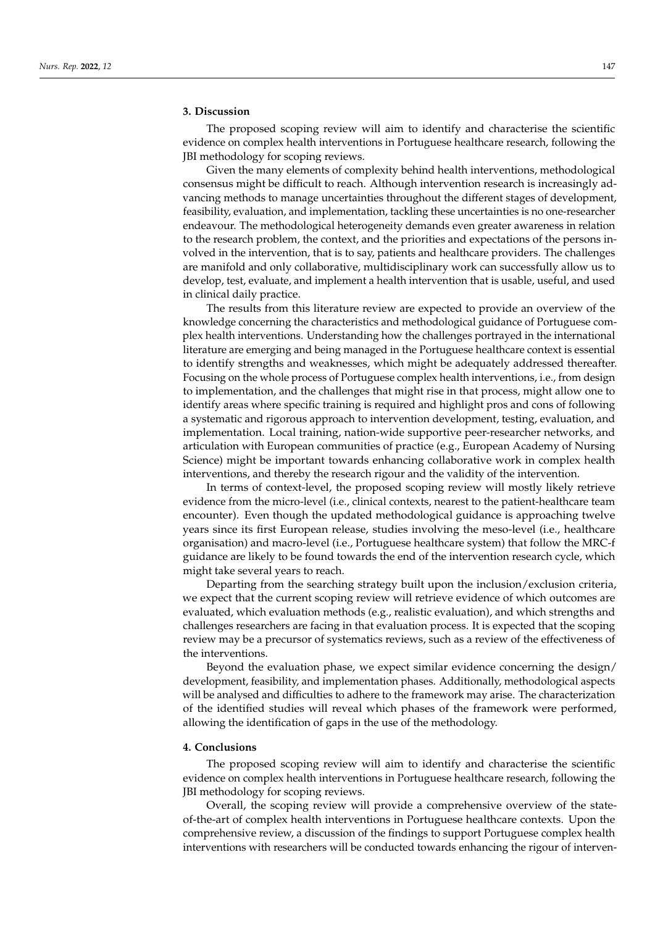## **3. Discussion**

The proposed scoping review will aim to identify and characterise the scientific evidence on complex health interventions in Portuguese healthcare research, following the JBI methodology for scoping reviews.

Given the many elements of complexity behind health interventions, methodological consensus might be difficult to reach. Although intervention research is increasingly advancing methods to manage uncertainties throughout the different stages of development, feasibility, evaluation, and implementation, tackling these uncertainties is no one-researcher endeavour. The methodological heterogeneity demands even greater awareness in relation to the research problem, the context, and the priorities and expectations of the persons involved in the intervention, that is to say, patients and healthcare providers. The challenges are manifold and only collaborative, multidisciplinary work can successfully allow us to develop, test, evaluate, and implement a health intervention that is usable, useful, and used in clinical daily practice.

The results from this literature review are expected to provide an overview of the knowledge concerning the characteristics and methodological guidance of Portuguese complex health interventions. Understanding how the challenges portrayed in the international literature are emerging and being managed in the Portuguese healthcare context is essential to identify strengths and weaknesses, which might be adequately addressed thereafter. Focusing on the whole process of Portuguese complex health interventions, i.e., from design to implementation, and the challenges that might rise in that process, might allow one to identify areas where specific training is required and highlight pros and cons of following a systematic and rigorous approach to intervention development, testing, evaluation, and implementation. Local training, nation-wide supportive peer-researcher networks, and articulation with European communities of practice (e.g., European Academy of Nursing Science) might be important towards enhancing collaborative work in complex health interventions, and thereby the research rigour and the validity of the intervention.

In terms of context-level, the proposed scoping review will mostly likely retrieve evidence from the micro-level (i.e., clinical contexts, nearest to the patient-healthcare team encounter). Even though the updated methodological guidance is approaching twelve years since its first European release, studies involving the meso-level (i.e., healthcare organisation) and macro-level (i.e., Portuguese healthcare system) that follow the MRC-f guidance are likely to be found towards the end of the intervention research cycle, which might take several years to reach.

Departing from the searching strategy built upon the inclusion/exclusion criteria, we expect that the current scoping review will retrieve evidence of which outcomes are evaluated, which evaluation methods (e.g., realistic evaluation), and which strengths and challenges researchers are facing in that evaluation process. It is expected that the scoping review may be a precursor of systematics reviews, such as a review of the effectiveness of the interventions.

Beyond the evaluation phase, we expect similar evidence concerning the design/ development, feasibility, and implementation phases. Additionally, methodological aspects will be analysed and difficulties to adhere to the framework may arise. The characterization of the identified studies will reveal which phases of the framework were performed, allowing the identification of gaps in the use of the methodology.

#### **4. Conclusions**

The proposed scoping review will aim to identify and characterise the scientific evidence on complex health interventions in Portuguese healthcare research, following the JBI methodology for scoping reviews.

Overall, the scoping review will provide a comprehensive overview of the stateof-the-art of complex health interventions in Portuguese healthcare contexts. Upon the comprehensive review, a discussion of the findings to support Portuguese complex health interventions with researchers will be conducted towards enhancing the rigour of interven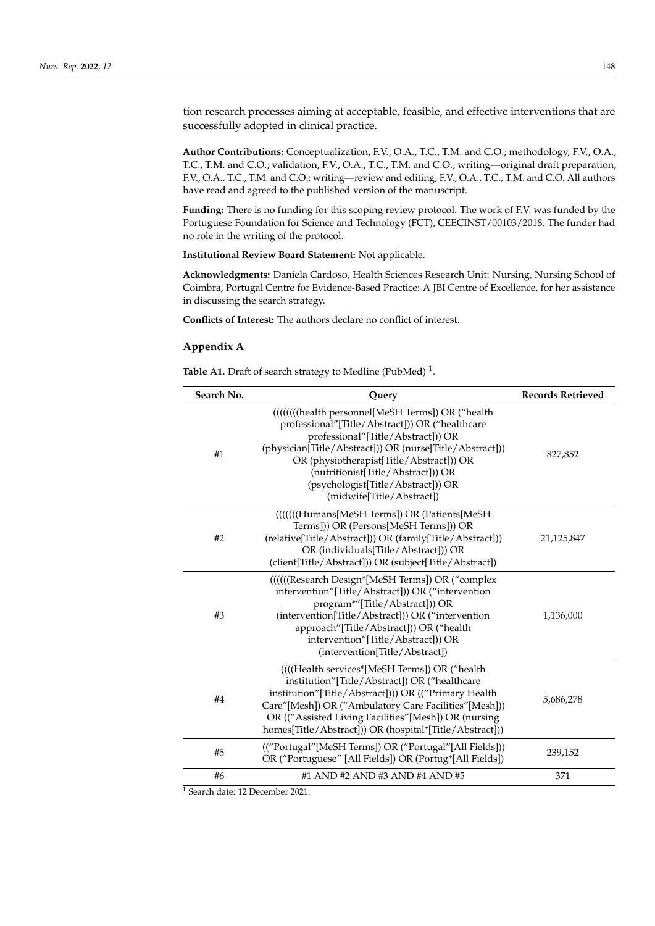tion research processes aiming at acceptable, feasible, and effective interventions that are successfully adopted in clinical practice.

**Author Contributions:** Conceptualization, F.V., O.A., T.C., T.M. and C.O.; methodology, F.V., O.A., T.C., T.M. and C.O.; validation, F.V., O.A., T.C., T.M. and C.O.; writing—original draft preparation, F.V., O.A., T.C., T.M. and C.O.; writing—review and editing, F.V., O.A., T.C., T.M. and C.O. All authors have read and agreed to the published version of the manuscript.

**Funding:** There is no funding for this scoping review protocol. The work of F.V. was funded by the Portuguese Foundation for Science and Technology (FCT), CEECINST/00103/2018. The funder had no role in the writing of the protocol.

**Institutional Review Board Statement:** Not applicable.

**Acknowledgments:** Daniela Cardoso, Health Sciences Research Unit: Nursing, Nursing School of Coimbra, Portugal Centre for Evidence-Based Practice: A JBI Centre of Excellence, for her assistance in discussing the search strategy.

**Conflicts of Interest:** The authors declare no conflict of interest.

## **Appendix A**

<span id="page-6-0"></span>Table A1. Draft of search strategy to Medline (PubMed)<sup>1</sup>.

| Search No. | Query                                                                                                                                                                                                                                                                                                                                                       | <b>Records Retrieved</b> |
|------------|-------------------------------------------------------------------------------------------------------------------------------------------------------------------------------------------------------------------------------------------------------------------------------------------------------------------------------------------------------------|--------------------------|
| #1         | ((((((((health personnel[MeSH Terms]) OR ("health<br>professional"[Title/Abstract])) OR ("healthcare<br>professional"[Title/Abstract])) OR<br>(physician[Title/Abstract])) OR (nurse[Title/Abstract]))<br>OR (physiotherapist[Title/Abstract])) OR<br>(nutritionist[Title/Abstract])) OR<br>(psychologist[Title/Abstract])) OR<br>(midwife[Title/Abstract]) | 827,852                  |
| #2         | ((((((Humans[MeSH Terms]) OR (Patients[MeSH)<br>Terms])) OR (Persons[MeSH Terms])) OR<br>(relative[Title/Abstract])) OR (family[Title/Abstract]))<br>OR (individuals[Title/Abstract])) OR<br>(client[Title/Abstract])) OR (subject[Title/Abstract])                                                                                                         | 21,125,847               |
| #3         | ((((((Research Design*[MeSH Terms]) OR ("complex<br>intervention"[Title/Abstract])) OR ("intervention<br>program*"[Title/Abstract])) OR<br>(intervention[Title/Abstract])) OR ("intervention<br>approach"[Title/Abstract])) OR ("health<br>intervention"[Title/Abstract])) OR<br>(intervention[Title/Abstract])                                             | 1,136,000                |
| #4         | ((((Health services*[MeSH Terms]) OR ("health<br>institution"[Title/Abstract]) OR ("healthcare<br>institution"[Title/Abstract]))) OR (("Primary Health<br>Care"[Mesh]) OR ("Ambulatory Care Facilities"[Mesh]))<br>OR (("Assisted Living Facilities"[Mesh]) OR (nursing<br>homes[Title/Abstract])) OR (hospital*[Title/Abstract]))                          | 5,686,278                |
| #5         | (("Portugal"[MeSH Terms]) OR ("Portugal"[All Fields]))<br>OR ("Portuguese" [All Fields]) OR (Portug*[All Fields])                                                                                                                                                                                                                                           | 239,152                  |
| #6         | #1 AND #2 AND #3 AND #4 AND #5                                                                                                                                                                                                                                                                                                                              | 371                      |

<sup>1</sup> Search date: 12 December 2021.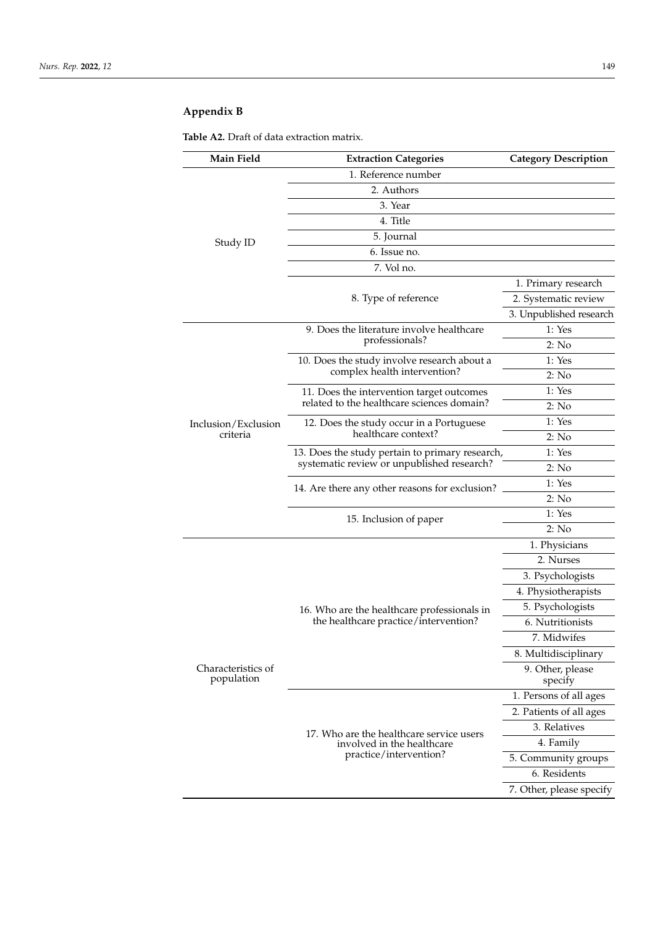## **Appendix B**

<span id="page-7-0"></span>**Table A2.** Draft of data extraction matrix.

| 1. Reference number<br>2. Authors<br>3. Year<br>4. Title<br>5. Journal<br>Study ID<br>6. Issue no.<br>7. Vol no.<br>1. Primary research<br>2. Systematic review<br>8. Type of reference<br>3. Unpublished research<br>1: Yes<br>9. Does the literature involve healthcare<br>professionals?<br>2: No<br>1: Yes<br>10. Does the study involve research about a<br>complex health intervention?<br>2: No<br>1: Yes<br>11. Does the intervention target outcomes<br>related to the healthcare sciences domain?<br>2: No<br>1: Yes<br>12. Does the study occur in a Portuguese<br>Inclusion/Exclusion<br>healthcare context?<br>criteria<br>2: No<br>1: Yes<br>13. Does the study pertain to primary research,<br>systematic review or unpublished research?<br>2: No<br>1: Yes<br>14. Are there any other reasons for exclusion?<br>2: No<br>1: Yes<br>15. Inclusion of paper<br>2: No<br>1. Physicians<br>2. Nurses<br>3. Psychologists<br>4. Physiotherapists<br>5. Psychologists<br>16. Who are the healthcare professionals in<br>the healthcare practice/intervention?<br>6. Nutritionists<br>7. Midwifes<br>8. Multidisciplinary<br>Characteristics of<br>9. Other, please<br>population<br>specify<br>1. Persons of all ages<br>2. Patients of all ages<br>3. Relatives<br>17. Who are the healthcare service users<br>4. Family<br>involved in the healthcare<br>practice/intervention?<br>5. Community groups<br>6. Residents<br>7. Other, please specify | Main Field | <b>Extraction Categories</b> | <b>Category Description</b> |
|-----------------------------------------------------------------------------------------------------------------------------------------------------------------------------------------------------------------------------------------------------------------------------------------------------------------------------------------------------------------------------------------------------------------------------------------------------------------------------------------------------------------------------------------------------------------------------------------------------------------------------------------------------------------------------------------------------------------------------------------------------------------------------------------------------------------------------------------------------------------------------------------------------------------------------------------------------------------------------------------------------------------------------------------------------------------------------------------------------------------------------------------------------------------------------------------------------------------------------------------------------------------------------------------------------------------------------------------------------------------------------------------------------------------------------------------------------------------|------------|------------------------------|-----------------------------|
|                                                                                                                                                                                                                                                                                                                                                                                                                                                                                                                                                                                                                                                                                                                                                                                                                                                                                                                                                                                                                                                                                                                                                                                                                                                                                                                                                                                                                                                                 |            |                              |                             |
|                                                                                                                                                                                                                                                                                                                                                                                                                                                                                                                                                                                                                                                                                                                                                                                                                                                                                                                                                                                                                                                                                                                                                                                                                                                                                                                                                                                                                                                                 |            |                              |                             |
|                                                                                                                                                                                                                                                                                                                                                                                                                                                                                                                                                                                                                                                                                                                                                                                                                                                                                                                                                                                                                                                                                                                                                                                                                                                                                                                                                                                                                                                                 |            |                              |                             |
|                                                                                                                                                                                                                                                                                                                                                                                                                                                                                                                                                                                                                                                                                                                                                                                                                                                                                                                                                                                                                                                                                                                                                                                                                                                                                                                                                                                                                                                                 |            |                              |                             |
|                                                                                                                                                                                                                                                                                                                                                                                                                                                                                                                                                                                                                                                                                                                                                                                                                                                                                                                                                                                                                                                                                                                                                                                                                                                                                                                                                                                                                                                                 |            |                              |                             |
|                                                                                                                                                                                                                                                                                                                                                                                                                                                                                                                                                                                                                                                                                                                                                                                                                                                                                                                                                                                                                                                                                                                                                                                                                                                                                                                                                                                                                                                                 |            |                              |                             |
|                                                                                                                                                                                                                                                                                                                                                                                                                                                                                                                                                                                                                                                                                                                                                                                                                                                                                                                                                                                                                                                                                                                                                                                                                                                                                                                                                                                                                                                                 |            |                              |                             |
|                                                                                                                                                                                                                                                                                                                                                                                                                                                                                                                                                                                                                                                                                                                                                                                                                                                                                                                                                                                                                                                                                                                                                                                                                                                                                                                                                                                                                                                                 |            |                              |                             |
|                                                                                                                                                                                                                                                                                                                                                                                                                                                                                                                                                                                                                                                                                                                                                                                                                                                                                                                                                                                                                                                                                                                                                                                                                                                                                                                                                                                                                                                                 |            |                              |                             |
|                                                                                                                                                                                                                                                                                                                                                                                                                                                                                                                                                                                                                                                                                                                                                                                                                                                                                                                                                                                                                                                                                                                                                                                                                                                                                                                                                                                                                                                                 |            |                              |                             |
|                                                                                                                                                                                                                                                                                                                                                                                                                                                                                                                                                                                                                                                                                                                                                                                                                                                                                                                                                                                                                                                                                                                                                                                                                                                                                                                                                                                                                                                                 |            |                              |                             |
|                                                                                                                                                                                                                                                                                                                                                                                                                                                                                                                                                                                                                                                                                                                                                                                                                                                                                                                                                                                                                                                                                                                                                                                                                                                                                                                                                                                                                                                                 |            |                              |                             |
|                                                                                                                                                                                                                                                                                                                                                                                                                                                                                                                                                                                                                                                                                                                                                                                                                                                                                                                                                                                                                                                                                                                                                                                                                                                                                                                                                                                                                                                                 |            |                              |                             |
|                                                                                                                                                                                                                                                                                                                                                                                                                                                                                                                                                                                                                                                                                                                                                                                                                                                                                                                                                                                                                                                                                                                                                                                                                                                                                                                                                                                                                                                                 |            |                              |                             |
|                                                                                                                                                                                                                                                                                                                                                                                                                                                                                                                                                                                                                                                                                                                                                                                                                                                                                                                                                                                                                                                                                                                                                                                                                                                                                                                                                                                                                                                                 |            |                              |                             |
|                                                                                                                                                                                                                                                                                                                                                                                                                                                                                                                                                                                                                                                                                                                                                                                                                                                                                                                                                                                                                                                                                                                                                                                                                                                                                                                                                                                                                                                                 |            |                              |                             |
|                                                                                                                                                                                                                                                                                                                                                                                                                                                                                                                                                                                                                                                                                                                                                                                                                                                                                                                                                                                                                                                                                                                                                                                                                                                                                                                                                                                                                                                                 |            |                              |                             |
|                                                                                                                                                                                                                                                                                                                                                                                                                                                                                                                                                                                                                                                                                                                                                                                                                                                                                                                                                                                                                                                                                                                                                                                                                                                                                                                                                                                                                                                                 |            |                              |                             |
|                                                                                                                                                                                                                                                                                                                                                                                                                                                                                                                                                                                                                                                                                                                                                                                                                                                                                                                                                                                                                                                                                                                                                                                                                                                                                                                                                                                                                                                                 |            |                              |                             |
|                                                                                                                                                                                                                                                                                                                                                                                                                                                                                                                                                                                                                                                                                                                                                                                                                                                                                                                                                                                                                                                                                                                                                                                                                                                                                                                                                                                                                                                                 |            |                              |                             |
|                                                                                                                                                                                                                                                                                                                                                                                                                                                                                                                                                                                                                                                                                                                                                                                                                                                                                                                                                                                                                                                                                                                                                                                                                                                                                                                                                                                                                                                                 |            |                              |                             |
|                                                                                                                                                                                                                                                                                                                                                                                                                                                                                                                                                                                                                                                                                                                                                                                                                                                                                                                                                                                                                                                                                                                                                                                                                                                                                                                                                                                                                                                                 |            |                              |                             |
|                                                                                                                                                                                                                                                                                                                                                                                                                                                                                                                                                                                                                                                                                                                                                                                                                                                                                                                                                                                                                                                                                                                                                                                                                                                                                                                                                                                                                                                                 |            |                              |                             |
|                                                                                                                                                                                                                                                                                                                                                                                                                                                                                                                                                                                                                                                                                                                                                                                                                                                                                                                                                                                                                                                                                                                                                                                                                                                                                                                                                                                                                                                                 |            |                              |                             |
|                                                                                                                                                                                                                                                                                                                                                                                                                                                                                                                                                                                                                                                                                                                                                                                                                                                                                                                                                                                                                                                                                                                                                                                                                                                                                                                                                                                                                                                                 |            |                              |                             |
|                                                                                                                                                                                                                                                                                                                                                                                                                                                                                                                                                                                                                                                                                                                                                                                                                                                                                                                                                                                                                                                                                                                                                                                                                                                                                                                                                                                                                                                                 |            |                              |                             |
|                                                                                                                                                                                                                                                                                                                                                                                                                                                                                                                                                                                                                                                                                                                                                                                                                                                                                                                                                                                                                                                                                                                                                                                                                                                                                                                                                                                                                                                                 |            |                              |                             |
|                                                                                                                                                                                                                                                                                                                                                                                                                                                                                                                                                                                                                                                                                                                                                                                                                                                                                                                                                                                                                                                                                                                                                                                                                                                                                                                                                                                                                                                                 |            |                              |                             |
|                                                                                                                                                                                                                                                                                                                                                                                                                                                                                                                                                                                                                                                                                                                                                                                                                                                                                                                                                                                                                                                                                                                                                                                                                                                                                                                                                                                                                                                                 |            |                              |                             |
|                                                                                                                                                                                                                                                                                                                                                                                                                                                                                                                                                                                                                                                                                                                                                                                                                                                                                                                                                                                                                                                                                                                                                                                                                                                                                                                                                                                                                                                                 |            |                              |                             |
|                                                                                                                                                                                                                                                                                                                                                                                                                                                                                                                                                                                                                                                                                                                                                                                                                                                                                                                                                                                                                                                                                                                                                                                                                                                                                                                                                                                                                                                                 |            |                              |                             |
|                                                                                                                                                                                                                                                                                                                                                                                                                                                                                                                                                                                                                                                                                                                                                                                                                                                                                                                                                                                                                                                                                                                                                                                                                                                                                                                                                                                                                                                                 |            |                              |                             |
|                                                                                                                                                                                                                                                                                                                                                                                                                                                                                                                                                                                                                                                                                                                                                                                                                                                                                                                                                                                                                                                                                                                                                                                                                                                                                                                                                                                                                                                                 |            |                              |                             |
|                                                                                                                                                                                                                                                                                                                                                                                                                                                                                                                                                                                                                                                                                                                                                                                                                                                                                                                                                                                                                                                                                                                                                                                                                                                                                                                                                                                                                                                                 |            |                              |                             |
|                                                                                                                                                                                                                                                                                                                                                                                                                                                                                                                                                                                                                                                                                                                                                                                                                                                                                                                                                                                                                                                                                                                                                                                                                                                                                                                                                                                                                                                                 |            |                              |                             |
|                                                                                                                                                                                                                                                                                                                                                                                                                                                                                                                                                                                                                                                                                                                                                                                                                                                                                                                                                                                                                                                                                                                                                                                                                                                                                                                                                                                                                                                                 |            |                              |                             |
|                                                                                                                                                                                                                                                                                                                                                                                                                                                                                                                                                                                                                                                                                                                                                                                                                                                                                                                                                                                                                                                                                                                                                                                                                                                                                                                                                                                                                                                                 |            |                              |                             |
|                                                                                                                                                                                                                                                                                                                                                                                                                                                                                                                                                                                                                                                                                                                                                                                                                                                                                                                                                                                                                                                                                                                                                                                                                                                                                                                                                                                                                                                                 |            |                              |                             |
|                                                                                                                                                                                                                                                                                                                                                                                                                                                                                                                                                                                                                                                                                                                                                                                                                                                                                                                                                                                                                                                                                                                                                                                                                                                                                                                                                                                                                                                                 |            |                              |                             |
|                                                                                                                                                                                                                                                                                                                                                                                                                                                                                                                                                                                                                                                                                                                                                                                                                                                                                                                                                                                                                                                                                                                                                                                                                                                                                                                                                                                                                                                                 |            |                              |                             |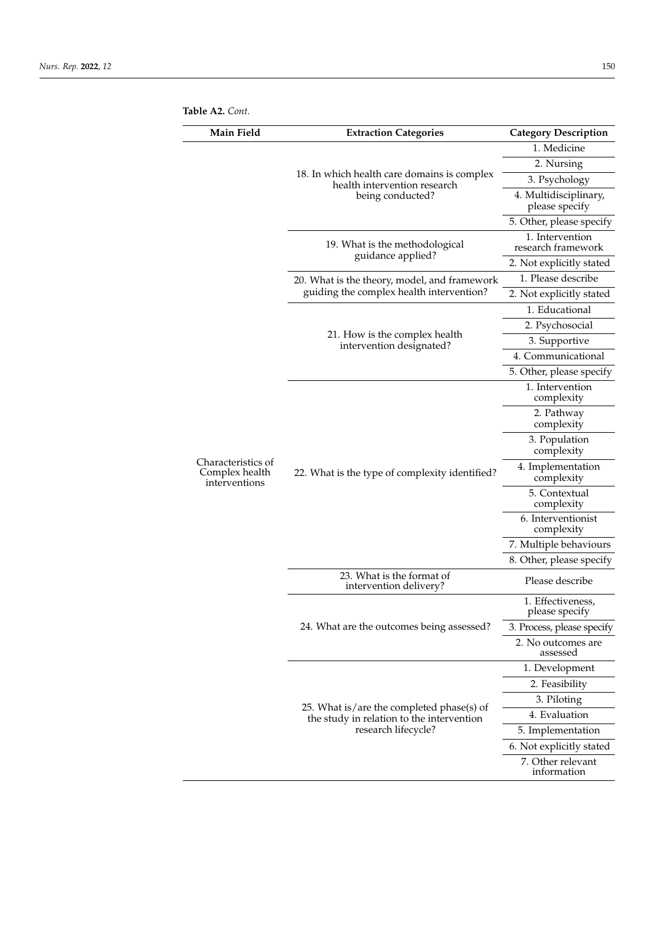|  | Table A2. Cont. |  |
|--|-----------------|--|
|--|-----------------|--|

| Main Field                                            | <b>Extraction Categories</b>                                                                                  | <b>Category Description</b>             |
|-------------------------------------------------------|---------------------------------------------------------------------------------------------------------------|-----------------------------------------|
|                                                       |                                                                                                               | 1. Medicine                             |
|                                                       |                                                                                                               | 2. Nursing                              |
|                                                       | 18. In which health care domains is complex<br>health intervention research                                   | 3. Psychology                           |
|                                                       | being conducted?                                                                                              | 4. Multidisciplinary,<br>please specify |
|                                                       |                                                                                                               | 5. Other, please specify                |
|                                                       | 19. What is the methodological<br>guidance applied?                                                           | 1. Intervention<br>research framework   |
|                                                       |                                                                                                               | 2. Not explicitly stated                |
|                                                       | 20. What is the theory, model, and framework                                                                  | 1. Please describe                      |
|                                                       | guiding the complex health intervention?                                                                      | 2. Not explicitly stated                |
|                                                       |                                                                                                               | 1. Educational                          |
|                                                       | 21. How is the complex health                                                                                 | 2. Psychosocial                         |
|                                                       | intervention designated?                                                                                      | 3. Supportive                           |
|                                                       |                                                                                                               | 4. Communicational                      |
|                                                       |                                                                                                               | 5. Other, please specify                |
|                                                       |                                                                                                               | 1. Intervention<br>complexity           |
|                                                       | 22. What is the type of complexity identified?                                                                | 2. Pathway<br>complexity                |
|                                                       |                                                                                                               | 3. Population<br>complexity             |
| Characteristics of<br>Complex health<br>interventions |                                                                                                               | 4. Implementation<br>complexity         |
|                                                       |                                                                                                               | 5. Contextual<br>complexity             |
|                                                       |                                                                                                               | 6. Interventionist<br>complexity        |
|                                                       |                                                                                                               | 7. Multiple behaviours                  |
|                                                       |                                                                                                               | 8. Other, please specify                |
|                                                       | 23. What is the format of<br>intervention delivery?                                                           | Please describe                         |
|                                                       | 24. What are the outcomes being assessed?                                                                     | 1. Effectiveness,<br>please specify     |
|                                                       |                                                                                                               | 3. Process, please specify              |
|                                                       |                                                                                                               | 2. No outcomes are<br>assessed          |
|                                                       |                                                                                                               | 1. Development                          |
|                                                       | 25. What is/are the completed phase(s) of<br>the study in relation to the intervention<br>research lifecycle? | 2. Feasibility                          |
|                                                       |                                                                                                               | 3. Piloting                             |
|                                                       |                                                                                                               | 4. Evaluation                           |
|                                                       |                                                                                                               | 5. Implementation                       |
|                                                       |                                                                                                               | 6. Not explicitly stated                |
|                                                       |                                                                                                               | 7. Other relevant<br>information        |